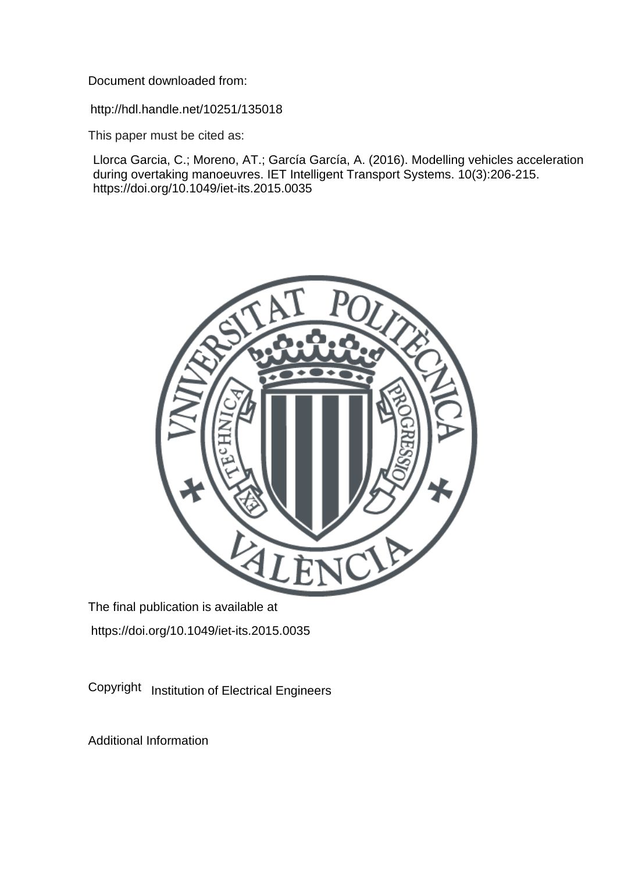Document downloaded from:

http://hdl.handle.net/10251/135018

This paper must be cited as:

Llorca Garcia, C.; Moreno, AT.; García García, A. (2016). Modelling vehicles acceleration during overtaking manoeuvres. IET Intelligent Transport Systems. 10(3):206-215. https://doi.org/10.1049/iet-its.2015.0035



The final publication is available at https://doi.org/10.1049/iet-its.2015.0035

Copyright Institution of Electrical Engineers

Additional Information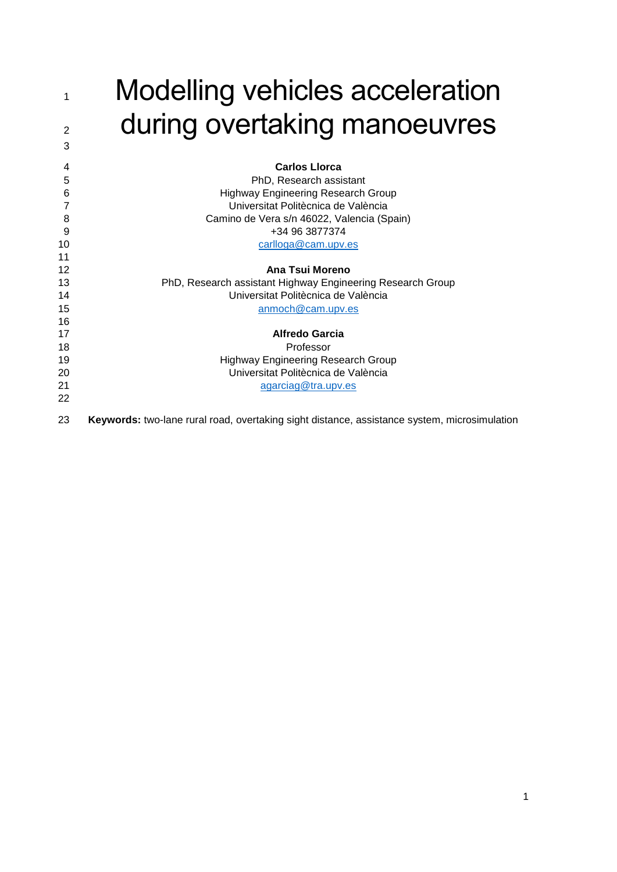| Modelling vehicles acceleration |
|---------------------------------|
| during overtaking manoeuvres    |

| 4  | <b>Carlos Llorca</b>                                                                         |
|----|----------------------------------------------------------------------------------------------|
| 5  | PhD, Research assistant                                                                      |
| 6  | <b>Highway Engineering Research Group</b>                                                    |
| 7  | Universitat Politècnica de València                                                          |
| 8  | Camino de Vera s/n 46022, Valencia (Spain)                                                   |
| 9  | +34 96 3877374                                                                               |
| 10 | carlloga@cam.upv.es                                                                          |
| 11 |                                                                                              |
| 12 | Ana Tsui Moreno                                                                              |
| 13 | PhD, Research assistant Highway Engineering Research Group                                   |
| 14 | Universitat Politècnica de València                                                          |
| 15 | anmoch@cam.upv.es                                                                            |
| 16 |                                                                                              |
| 17 | <b>Alfredo Garcia</b>                                                                        |
| 18 | Professor                                                                                    |
| 19 | <b>Highway Engineering Research Group</b>                                                    |
| 20 | Universitat Politècnica de València                                                          |
| 21 | agarciag@tra.upv.es                                                                          |
| 22 |                                                                                              |
| 23 | Keywords: two-lane rural road, overtaking sight distance, assistance system, microsimulation |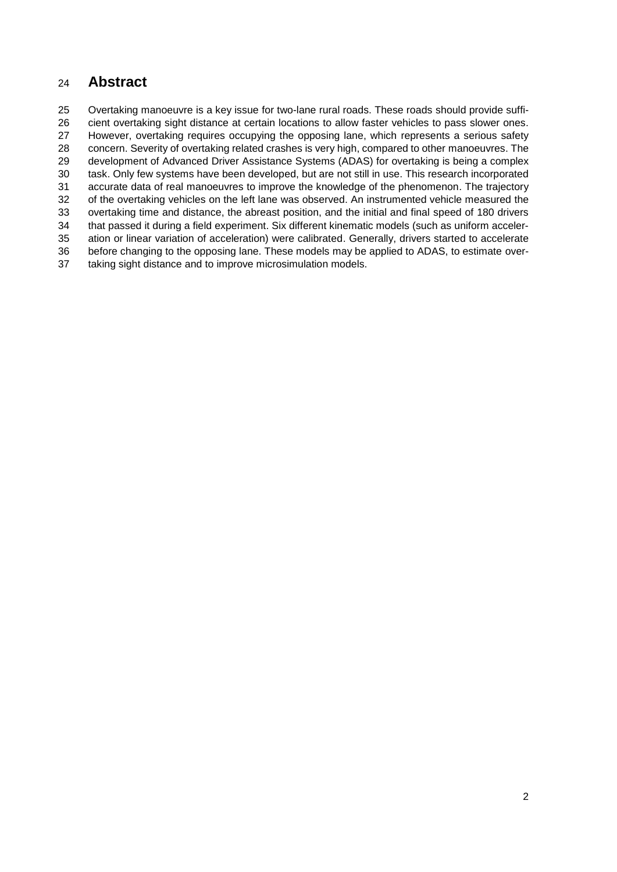## **Abstract**

 Overtaking manoeuvre is a key issue for two-lane rural roads. These roads should provide suffi- cient overtaking sight distance at certain locations to allow faster vehicles to pass slower ones. However, overtaking requires occupying the opposing lane, which represents a serious safety concern. Severity of overtaking related crashes is very high, compared to other manoeuvres. The development of Advanced Driver Assistance Systems (ADAS) for overtaking is being a complex task. Only few systems have been developed, but are not still in use. This research incorporated accurate data of real manoeuvres to improve the knowledge of the phenomenon. The trajectory of the overtaking vehicles on the left lane was observed. An instrumented vehicle measured the overtaking time and distance, the abreast position, and the initial and final speed of 180 drivers that passed it during a field experiment. Six different kinematic models (such as uniform acceler- ation or linear variation of acceleration) were calibrated. Generally, drivers started to accelerate before changing to the opposing lane. These models may be applied to ADAS, to estimate over-taking sight distance and to improve microsimulation models.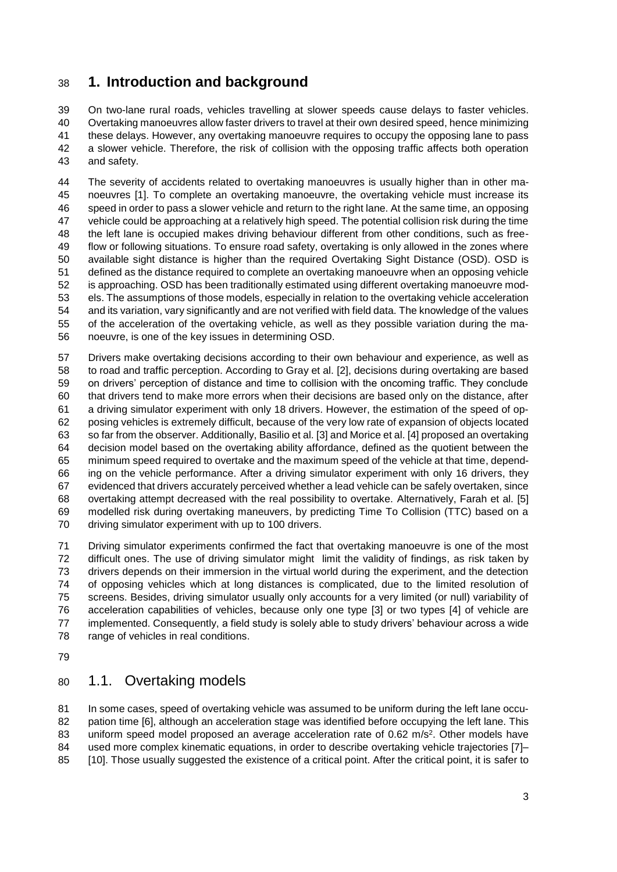## **1. Introduction and background**

 On two-lane rural roads, vehicles travelling at slower speeds cause delays to faster vehicles. Overtaking manoeuvres allow faster drivers to travel at their own desired speed, hence minimizing these delays. However, any overtaking manoeuvre requires to occupy the opposing lane to pass a slower vehicle. Therefore, the risk of collision with the opposing traffic affects both operation and safety.

 The severity of accidents related to overtaking manoeuvres is usually higher than in other ma- noeuvres [1]. To complete an overtaking manoeuvre, the overtaking vehicle must increase its speed in order to pass a slower vehicle and return to the right lane. At the same time, an opposing vehicle could be approaching at a relatively high speed. The potential collision risk during the time the left lane is occupied makes driving behaviour different from other conditions, such as free- flow or following situations. To ensure road safety, overtaking is only allowed in the zones where available sight distance is higher than the required Overtaking Sight Distance (OSD). OSD is defined as the distance required to complete an overtaking manoeuvre when an opposing vehicle is approaching. OSD has been traditionally estimated using different overtaking manoeuvre mod- els. The assumptions of those models, especially in relation to the overtaking vehicle acceleration and its variation, vary significantly and are not verified with field data. The knowledge of the values of the acceleration of the overtaking vehicle, as well as they possible variation during the ma-noeuvre, is one of the key issues in determining OSD.

 Drivers make overtaking decisions according to their own behaviour and experience, as well as to road and traffic perception. According to Gray et al. [2], decisions during overtaking are based on drivers' perception of distance and time to collision with the oncoming traffic. They conclude that drivers tend to make more errors when their decisions are based only on the distance, after a driving simulator experiment with only 18 drivers. However, the estimation of the speed of op- posing vehicles is extremely difficult, because of the very low rate of expansion of objects located so far from the observer. Additionally, Basilio et al. [3] and Morice et al. [4] proposed an overtaking decision model based on the overtaking ability affordance, defined as the quotient between the minimum speed required to overtake and the maximum speed of the vehicle at that time, depend- ing on the vehicle performance. After a driving simulator experiment with only 16 drivers, they evidenced that drivers accurately perceived whether a lead vehicle can be safely overtaken, since overtaking attempt decreased with the real possibility to overtake. Alternatively, Farah et al. [5] modelled risk during overtaking maneuvers, by predicting Time To Collision (TTC) based on a driving simulator experiment with up to 100 drivers.

 Driving simulator experiments confirmed the fact that overtaking manoeuvre is one of the most difficult ones. The use of driving simulator might limit the validity of findings, as risk taken by drivers depends on their immersion in the virtual world during the experiment, and the detection of opposing vehicles which at long distances is complicated, due to the limited resolution of screens. Besides, driving simulator usually only accounts for a very limited (or null) variability of acceleration capabilities of vehicles, because only one type [3] or two types [4] of vehicle are implemented. Consequently, a field study is solely able to study drivers' behaviour across a wide range of vehicles in real conditions.

### 1.1. Overtaking models

 In some cases, speed of overtaking vehicle was assumed to be uniform during the left lane occu- pation time [6], although an acceleration stage was identified before occupying the left lane. This 83 uniform speed model proposed an average acceleration rate of 0.62  $m/s<sup>2</sup>$ . Other models have used more complex kinematic equations, in order to describe overtaking vehicle trajectories [7]– [10]. Those usually suggested the existence of a critical point. After the critical point, it is safer to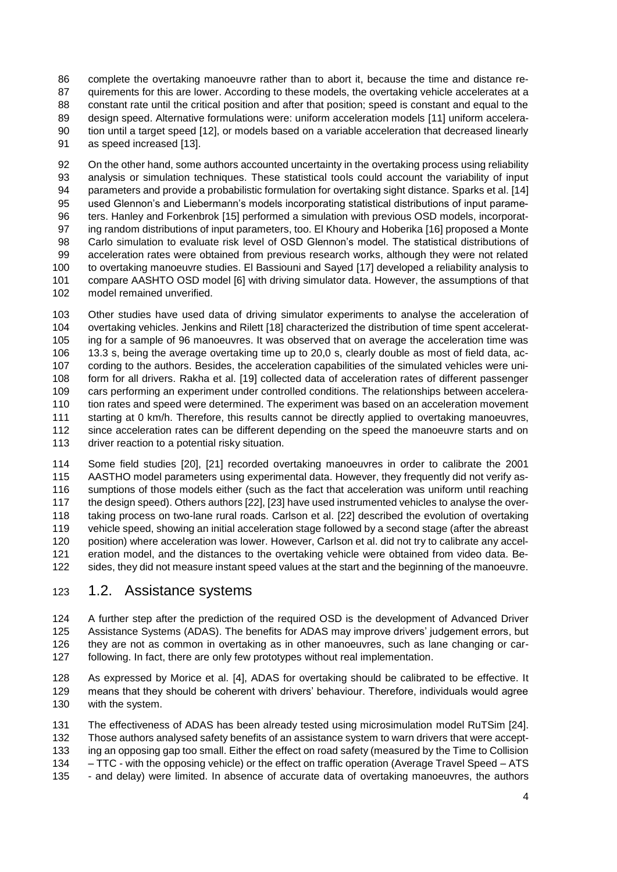complete the overtaking manoeuvre rather than to abort it, because the time and distance re- quirements for this are lower. According to these models, the overtaking vehicle accelerates at a 88 constant rate until the critical position and after that position; speed is constant and equal to the design speed. Alternative formulations were: uniform acceleration models [11] uniform accelera- tion until a target speed [12], or models based on a variable acceleration that decreased linearly as speed increased [13].

 On the other hand, some authors accounted uncertainty in the overtaking process using reliability analysis or simulation techniques. These statistical tools could account the variability of input parameters and provide a probabilistic formulation for overtaking sight distance. Sparks et al. [14] used Glennon's and Liebermann's models incorporating statistical distributions of input parame- ters. Hanley and Forkenbrok [15] performed a simulation with previous OSD models, incorporat- ing random distributions of input parameters, too. El Khoury and Hoberika [16] proposed a Monte Carlo simulation to evaluate risk level of OSD Glennon's model. The statistical distributions of acceleration rates were obtained from previous research works, although they were not related to overtaking manoeuvre studies. El Bassiouni and Sayed [17] developed a reliability analysis to compare AASHTO OSD model [6] with driving simulator data. However, the assumptions of that model remained unverified.

 Other studies have used data of driving simulator experiments to analyse the acceleration of overtaking vehicles. Jenkins and Rilett [18] characterized the distribution of time spent accelerat- ing for a sample of 96 manoeuvres. It was observed that on average the acceleration time was 13.3 s, being the average overtaking time up to 20,0 s, clearly double as most of field data, ac- cording to the authors. Besides, the acceleration capabilities of the simulated vehicles were uni- form for all drivers. Rakha et al. [19] collected data of acceleration rates of different passenger cars performing an experiment under controlled conditions. The relationships between accelera- tion rates and speed were determined. The experiment was based on an acceleration movement starting at 0 km/h. Therefore, this results cannot be directly applied to overtaking manoeuvres, since acceleration rates can be different depending on the speed the manoeuvre starts and on 113 driver reaction to a potential risky situation.

 Some field studies [20], [21] recorded overtaking manoeuvres in order to calibrate the 2001 AASTHO model parameters using experimental data. However, they frequently did not verify as- sumptions of those models either (such as the fact that acceleration was uniform until reaching the design speed). Others authors [22], [23] have used instrumented vehicles to analyse the over- taking process on two-lane rural roads. Carlson et al. [22] described the evolution of overtaking vehicle speed, showing an initial acceleration stage followed by a second stage (after the abreast position) where acceleration was lower. However, Carlson et al. did not try to calibrate any accel- eration model, and the distances to the overtaking vehicle were obtained from video data. Be-sides, they did not measure instant speed values at the start and the beginning of the manoeuvre.

### 1.2. Assistance systems

 A further step after the prediction of the required OSD is the development of Advanced Driver Assistance Systems (ADAS). The benefits for ADAS may improve drivers' judgement errors, but they are not as common in overtaking as in other manoeuvres, such as lane changing or car-following. In fact, there are only few prototypes without real implementation.

 As expressed by Morice et al. [4], ADAS for overtaking should be calibrated to be effective. It means that they should be coherent with drivers' behaviour. Therefore, individuals would agree with the system.

 The effectiveness of ADAS has been already tested using microsimulation model RuTSim [24]. Those authors analysed safety benefits of an assistance system to warn drivers that were accept- ing an opposing gap too small. Either the effect on road safety (measured by the Time to Collision – TTC - with the opposing vehicle) or the effect on traffic operation (Average Travel Speed – ATS - and delay) were limited. In absence of accurate data of overtaking manoeuvres, the authors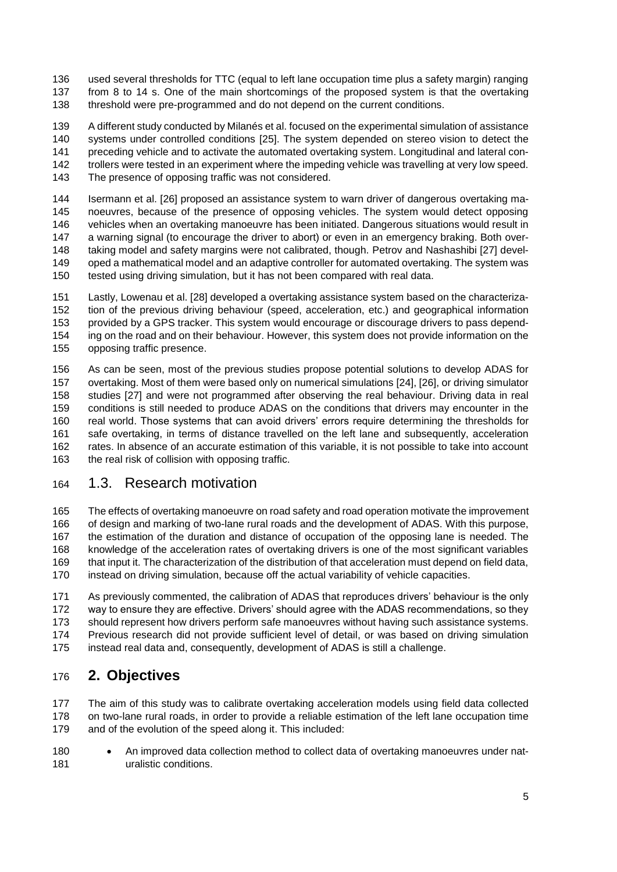used several thresholds for TTC (equal to left lane occupation time plus a safety margin) ranging from 8 to 14 s. One of the main shortcomings of the proposed system is that the overtaking threshold were pre-programmed and do not depend on the current conditions.

 A different study conducted by Milanés et al. focused on the experimental simulation of assistance systems under controlled conditions [25]. The system depended on stereo vision to detect the preceding vehicle and to activate the automated overtaking system. Longitudinal and lateral con- trollers were tested in an experiment where the impeding vehicle was travelling at very low speed. The presence of opposing traffic was not considered.

 Isermann et al. [26] proposed an assistance system to warn driver of dangerous overtaking ma- noeuvres, because of the presence of opposing vehicles. The system would detect opposing vehicles when an overtaking manoeuvre has been initiated. Dangerous situations would result in a warning signal (to encourage the driver to abort) or even in an emergency braking. Both over- taking model and safety margins were not calibrated, though. Petrov and Nashashibi [27] devel- oped a mathematical model and an adaptive controller for automated overtaking. The system was tested using driving simulation, but it has not been compared with real data.

 Lastly, Lowenau et al. [28] developed a overtaking assistance system based on the characteriza- tion of the previous driving behaviour (speed, acceleration, etc.) and geographical information provided by a GPS tracker. This system would encourage or discourage drivers to pass depend- ing on the road and on their behaviour. However, this system does not provide information on the opposing traffic presence.

 As can be seen, most of the previous studies propose potential solutions to develop ADAS for overtaking. Most of them were based only on numerical simulations [24], [26], or driving simulator studies [27] and were not programmed after observing the real behaviour. Driving data in real conditions is still needed to produce ADAS on the conditions that drivers may encounter in the real world. Those systems that can avoid drivers' errors require determining the thresholds for safe overtaking, in terms of distance travelled on the left lane and subsequently, acceleration rates. In absence of an accurate estimation of this variable, it is not possible to take into account the real risk of collision with opposing traffic.

### 1.3. Research motivation

 The effects of overtaking manoeuvre on road safety and road operation motivate the improvement of design and marking of two-lane rural roads and the development of ADAS. With this purpose, the estimation of the duration and distance of occupation of the opposing lane is needed. The knowledge of the acceleration rates of overtaking drivers is one of the most significant variables that input it. The characterization of the distribution of that acceleration must depend on field data, instead on driving simulation, because off the actual variability of vehicle capacities.

 As previously commented, the calibration of ADAS that reproduces drivers' behaviour is the only way to ensure they are effective. Drivers' should agree with the ADAS recommendations, so they should represent how drivers perform safe manoeuvres without having such assistance systems. Previous research did not provide sufficient level of detail, or was based on driving simulation instead real data and, consequently, development of ADAS is still a challenge.

# **2. Objectives**

 The aim of this study was to calibrate overtaking acceleration models using field data collected on two-lane rural roads, in order to provide a reliable estimation of the left lane occupation time and of the evolution of the speed along it. This included:

180 • An improved data collection method to collect data of overtaking manoeuvres under nat-**uralistic conditions.**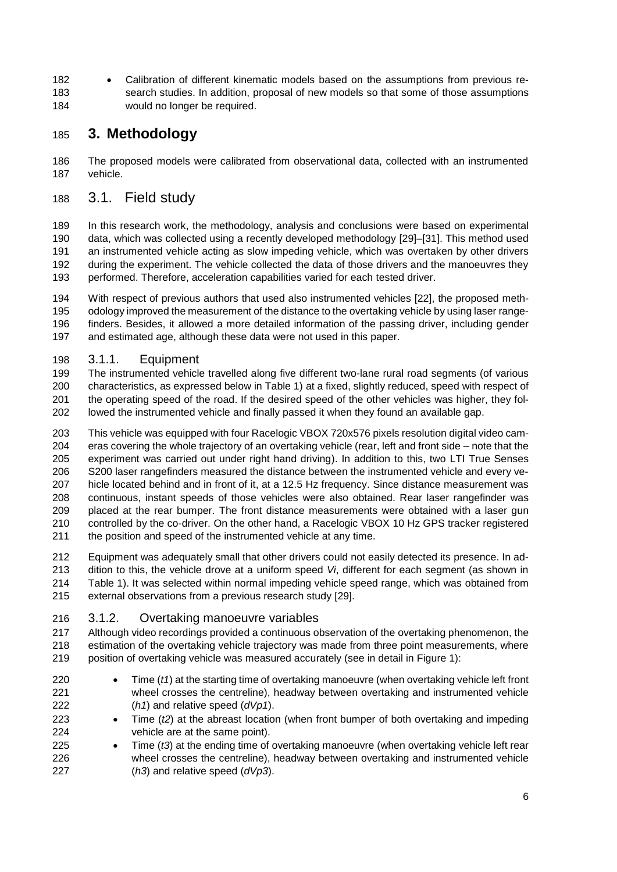182 • Calibration of different kinematic models based on the assumptions from previous re- search studies. In addition, proposal of new models so that some of those assumptions would no longer be required.

# **3. Methodology**

 The proposed models were calibrated from observational data, collected with an instrumented vehicle.

### 3.1. Field study

 In this research work, the methodology, analysis and conclusions were based on experimental data, which was collected using a recently developed methodology [29]–[31]. This method used an instrumented vehicle acting as slow impeding vehicle, which was overtaken by other drivers during the experiment. The vehicle collected the data of those drivers and the manoeuvres they performed. Therefore, acceleration capabilities varied for each tested driver.

 With respect of previous authors that used also instrumented vehicles [22], the proposed meth- odology improved the measurement of the distance to the overtaking vehicle by using laser range- finders. Besides, it allowed a more detailed information of the passing driver, including gender and estimated age, although these data were not used in this paper.

### 3.1.1. Equipment

 The instrumented vehicle travelled along five different two-lane rural road segments (of various characteristics, as expressed below in Table 1) at a fixed, slightly reduced, speed with respect of the operating speed of the road. If the desired speed of the other vehicles was higher, they fol-lowed the instrumented vehicle and finally passed it when they found an available gap.

- This vehicle was equipped with four Racelogic VBOX 720x576 pixels resolution digital video cam- eras covering the whole trajectory of an overtaking vehicle (rear, left and front side – note that the experiment was carried out under right hand driving). In addition to this, two LTI True Senses S200 laser rangefinders measured the distance between the instrumented vehicle and every ve- hicle located behind and in front of it, at a 12.5 Hz frequency. Since distance measurement was continuous, instant speeds of those vehicles were also obtained. Rear laser rangefinder was placed at the rear bumper. The front distance measurements were obtained with a laser gun controlled by the co-driver. On the other hand, a Racelogic VBOX 10 Hz GPS tracker registered the position and speed of the instrumented vehicle at any time.
- Equipment was adequately small that other drivers could not easily detected its presence. In ad- dition to this, the vehicle drove at a uniform speed *Vi*, different for each segment (as shown in Table 1). It was selected within normal impeding vehicle speed range, which was obtained from external observations from a previous research study [29].

### 3.1.2. Overtaking manoeuvre variables

 Although video recordings provided a continuous observation of the overtaking phenomenon, the estimation of the overtaking vehicle trajectory was made from three point measurements, where position of overtaking vehicle was measured accurately (see in detail in [Figure 1\)](#page-7-0):

- **•** Time (*t1*) at the starting time of overtaking manoeuvre (when overtaking vehicle left front wheel crosses the centreline), headway between overtaking and instrumented vehicle (*h1*) and relative speed (*dVp1*).
- Time (*t2*) at the abreast location (when front bumper of both overtaking and impeding vehicle are at the same point).
- 225 Time (t3) at the ending time of overtaking manoeuvre (when overtaking vehicle left rear wheel crosses the centreline), headway between overtaking and instrumented vehicle (*h3*) and relative speed (*dVp3*).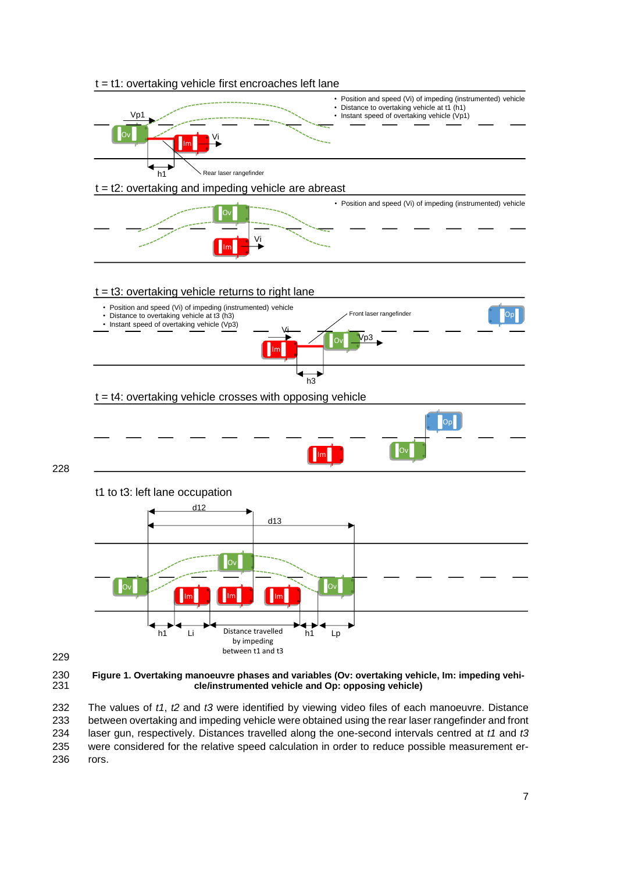



<span id="page-7-0"></span>230 **Figure 1. Overtaking manoeuvre phases and variables (Ov: overtaking vehicle, Im: impeding vehi-**231 **cle/instrumented vehicle and Op: opposing vehicle)**

 The values of *t1*, *t2* and *t3* were identified by viewing video files of each manoeuvre. Distance between overtaking and impeding vehicle were obtained using the rear laser rangefinder and front laser gun, respectively. Distances travelled along the one-second intervals centred at *t1* and *t3* were considered for the relative speed calculation in order to reduce possible measurement er-236 rors.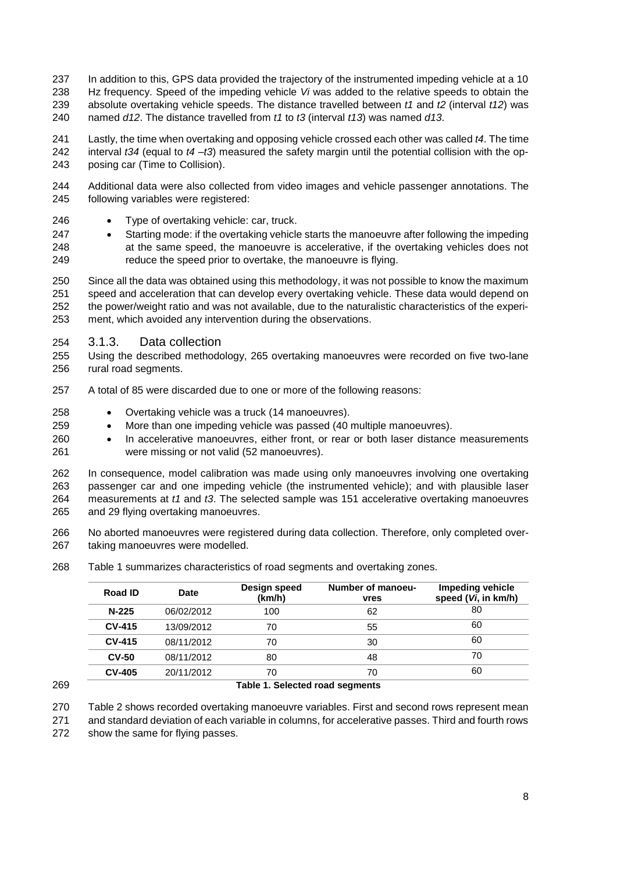- In addition to this, GPS data provided the trajectory of the instrumented impeding vehicle at a 10 Hz frequency. Speed of the impeding vehicle *Vi* was added to the relative speeds to obtain the absolute overtaking vehicle speeds. The distance travelled between *t1* and *t2* (interval *t12*) was named *d12*. The distance travelled from *t1* to *t3* (interval *t13*) was named *d13*.
- Lastly, the time when overtaking and opposing vehicle crossed each other was called *t4*. The time interval *t34* (equal to *t4* –*t3*) measured the safety margin until the potential collision with the op-posing car (Time to Collision).
- Additional data were also collected from video images and vehicle passenger annotations. The following variables were registered:
- 246 Type of overtaking vehicle: car, truck.
- Starting mode: if the overtaking vehicle starts the manoeuvre after following the impeding at the same speed, the manoeuvre is accelerative, if the overtaking vehicles does not reduce the speed prior to overtake, the manoeuvre is flying.
- Since all the data was obtained using this methodology, it was not possible to know the maximum speed and acceleration that can develop every overtaking vehicle. These data would depend on the power/weight ratio and was not available, due to the naturalistic characteristics of the experi-ment, which avoided any intervention during the observations.
- 3.1.3. Data collection
- Using the described methodology, 265 overtaking manoeuvres were recorded on five two-lane rural road segments.
- A total of 85 were discarded due to one or more of the following reasons:
- Overtaking vehicle was a truck (14 manoeuvres).
- More than one impeding vehicle was passed (40 multiple manoeuvres).
- In accelerative manoeuvres, either front, or rear or both laser distance measurements were missing or not valid (52 manoeuvres).
- In consequence, model calibration was made using only manoeuvres involving one overtaking passenger car and one impeding vehicle (the instrumented vehicle); and with plausible laser measurements at *t1* and *t3*. The selected sample was 151 accelerative overtaking manoeuvres and 29 flying overtaking manoeuvres.
- No aborted manoeuvres were registered during data collection. Therefore, only completed over-taking manoeuvres were modelled.
- Table 1 summarizes characteristics of road segments and overtaking zones.

|     | Road ID       | <b>Date</b> | Design speed<br>(km/h)          | Number of manoeu-<br><b>vres</b> | Impeding vehicle<br>speed (Vi, in km/h) |
|-----|---------------|-------------|---------------------------------|----------------------------------|-----------------------------------------|
|     | $N-225$       | 06/02/2012  | 100                             | 62                               | 80                                      |
|     | <b>CV-415</b> | 13/09/2012  | 70                              | 55                               | 60                                      |
|     | <b>CV-415</b> | 08/11/2012  | 70                              | 30                               | 60                                      |
|     | $CV-50$       | 08/11/2012  | 80                              | 48                               | 70                                      |
|     | <b>CV-405</b> | 20/11/2012  | 70                              | 70                               | 60                                      |
| 269 |               |             | Table 1. Selected road segments |                                  |                                         |

Table 2 shows recorded overtaking manoeuvre variables. First and second rows represent mean

 and standard deviation of each variable in columns, for accelerative passes. Third and fourth rows show the same for flying passes.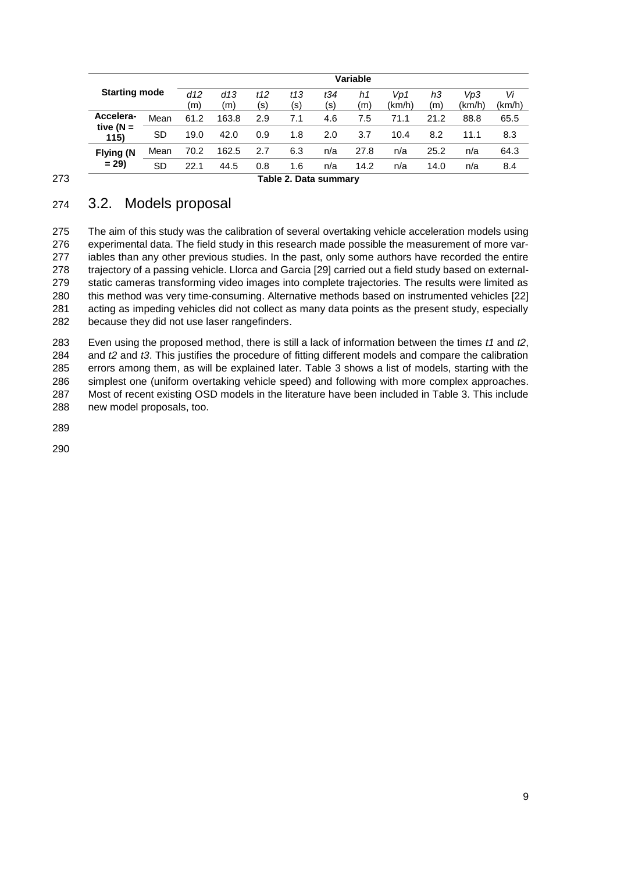|                      | <b>Variable</b> |            |            |            |                       |            |           |               |           |               |              |
|----------------------|-----------------|------------|------------|------------|-----------------------|------------|-----------|---------------|-----------|---------------|--------------|
| <b>Starting mode</b> |                 | d12<br>(m) | d13<br>(m) | t12<br>(s) | t13<br>(s)            | t34<br>(s) | h1<br>(m) | Vp1<br>(km/h) | hЗ<br>(m) | Vp3<br>(km/h) | Vi<br>(km/h) |
| Accelera-            | Mean            | 61.2       | 163.8      | 2.9        | 7.1                   | 4.6        | 7.5       | 71.1          | 21.2      | 88.8          | 65.5         |
| tive $(N =$<br>115)  | SD              | 19.0       | 42.0       | 0.9        | 1.8                   | 2.0        | 3.7       | 10.4          | 8.2       | 11.1          | 8.3          |
| <b>Flying (N</b>     | Mean            | 70.2       | 162.5      | 2.7        | 6.3                   | n/a        | 27.8      | n/a           | 25.2      | n/a           | 64.3         |
| $= 29$               | SD              | 22.1       | 44.5       | 0.8        | 1.6                   | n/a        | 14.2      | n/a           | 14.0      | n/a           | 8.4          |
|                      |                 |            |            |            | Table 2. Data summary |            |           |               |           |               |              |

## 274 3.2. Models proposal

 The aim of this study was the calibration of several overtaking vehicle acceleration models using experimental data. The field study in this research made possible the measurement of more var-277 iables than any other previous studies. In the past, only some authors have recorded the entire trajectory of a passing vehicle. Llorca and Garcia [29] carried out a field study based on external- static cameras transforming video images into complete trajectories. The results were limited as this method was very time-consuming. Alternative methods based on instrumented vehicles [22] acting as impeding vehicles did not collect as many data points as the present study, especially because they did not use laser rangefinders.

 Even using the proposed method, there is still a lack of information between the times *t1* and *t2*, and *t2* and *t3*. This justifies the procedure of fitting different models and compare the calibration errors among them, as will be explained later. Table 3 shows a list of models, starting with the simplest one (uniform overtaking vehicle speed) and following with more complex approaches. Most of recent existing OSD models in the literature have been included in Table 3. This include new model proposals, too.

289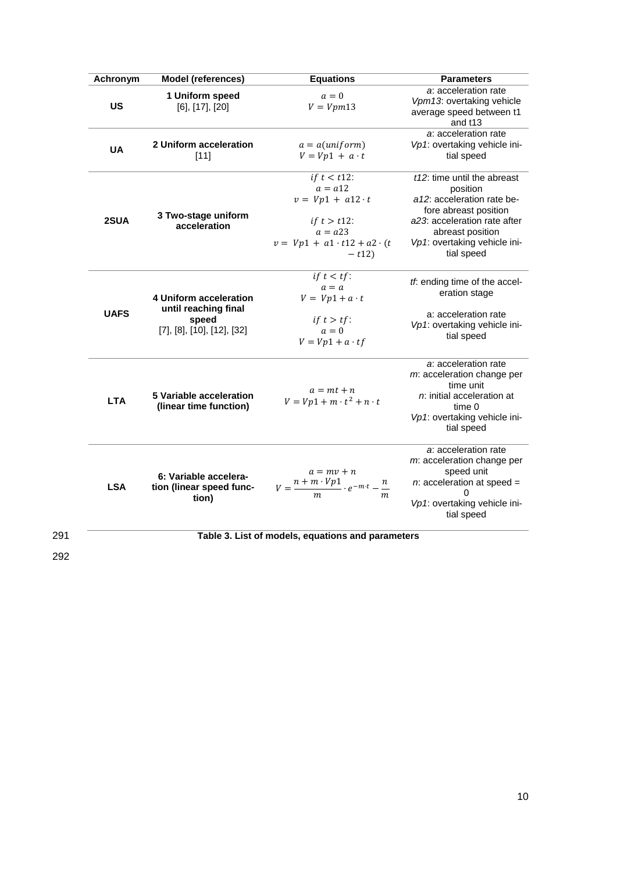| Achronym    | <b>Model (references)</b>                                                                           | <b>Equations</b>                                                                                                                                  | <b>Parameters</b>                                                                                                                                                                                |
|-------------|-----------------------------------------------------------------------------------------------------|---------------------------------------------------------------------------------------------------------------------------------------------------|--------------------------------------------------------------------------------------------------------------------------------------------------------------------------------------------------|
| <b>US</b>   | 1 Uniform speed<br>$[6]$ , $[17]$ , $[20]$                                                          | $a=0$<br>$V = Vpm13$                                                                                                                              | a: acceleration rate<br>Vpm13: overtaking vehicle<br>average speed between t1<br>and t13                                                                                                         |
| <b>UA</b>   | 2 Uniform acceleration<br>[11]                                                                      | $a = a(uniform)$<br>$V = Vp1 + a \cdot t$                                                                                                         | a: acceleration rate<br>Vp1: overtaking vehicle ini-<br>tial speed                                                                                                                               |
| 2SUA        | 3 Two-stage uniform<br>acceleration                                                                 | $if t < t$ 12:<br>$a = a12$<br>$v = Vp1 + a12 \cdot t$<br><i>if</i> $t > t$ 12:<br>$a = a23$<br>$v = Vp1 + a1 \cdot t12 + a2 \cdot (t$<br>$-t12)$ | t12: time until the abreast<br>position<br>a12: acceleration rate be-<br>fore abreast position<br>a23: acceleration rate after<br>abreast position<br>Vp1: overtaking vehicle ini-<br>tial speed |
| <b>UAFS</b> | 4 Uniform acceleration<br>until reaching final<br>speed<br>$[7]$ , $[8]$ , $[10]$ , $[12]$ , $[32]$ | if $t < tf$ :<br>$a = a$<br>$V = Vp1 + a \cdot t$<br>if $t > tf$ :<br>$a=0$<br>$V = Vp1 + a \cdot tf$                                             | tf: ending time of the accel-<br>eration stage<br>a: acceleration rate<br>Vp1: overtaking vehicle ini-<br>tial speed                                                                             |
| <b>LTA</b>  | 5 Variable acceleration<br>(linear time function)                                                   | $a = mt + n$<br>$V = Vp1 + m \cdot t^2 + n \cdot t$                                                                                               | a: acceleration rate<br>m: acceleration change per<br>time unit<br>$n$ : initial acceleration at<br>time 0<br>Vp1: overtaking vehicle ini-<br>tial speed                                         |
| <b>LSA</b>  | 6: Variable accelera-<br>tion (linear speed func-<br>tion)                                          | $a=mv+n$<br>$V = \frac{n+m\cdot Vp1}{m}\cdot e^{-m\cdot t}-\frac{n}{m}$                                                                           | a: acceleration rate<br>m: acceleration change per<br>speed unit<br>$n$ : acceleration at speed =<br>0<br>Vp1: overtaking vehicle ini-<br>tial speed                                             |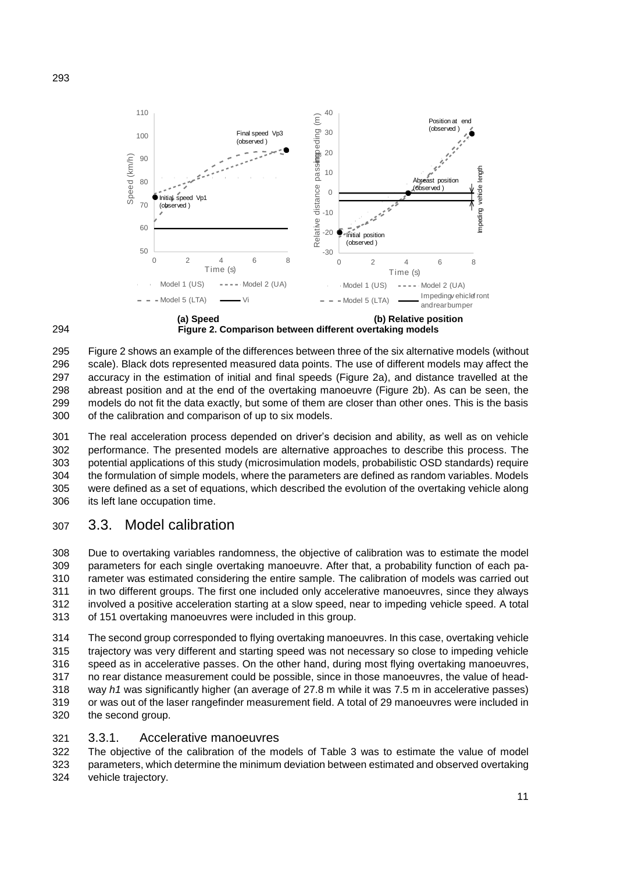



295 Figure 2 shows an example of the differences between three of the six alternative models (without scale). Black dots represented measured data points. The use of different models may affect the accuracy in the estimation of initial and final speeds (Figure 2a), and distance travelled at the abreast position and at the end of the overtaking manoeuvre (Figure 2b). As can be seen, the models do not fit the data exactly, but some of them are closer than other ones. This is the basis of the calibration and comparison of up to six models.

 The real acceleration process depended on driver's decision and ability, as well as on vehicle performance. The presented models are alternative approaches to describe this process. The potential applications of this study (microsimulation models, probabilistic OSD standards) require the formulation of simple models, where the parameters are defined as random variables. Models were defined as a set of equations, which described the evolution of the overtaking vehicle along its left lane occupation time.

# 3.3. Model calibration

 Due to overtaking variables randomness, the objective of calibration was to estimate the model parameters for each single overtaking manoeuvre. After that, a probability function of each pa- rameter was estimated considering the entire sample. The calibration of models was carried out in two different groups. The first one included only accelerative manoeuvres, since they always involved a positive acceleration starting at a slow speed, near to impeding vehicle speed. A total of 151 overtaking manoeuvres were included in this group.

 The second group corresponded to flying overtaking manoeuvres. In this case, overtaking vehicle trajectory was very different and starting speed was not necessary so close to impeding vehicle speed as in accelerative passes. On the other hand, during most flying overtaking manoeuvres, no rear distance measurement could be possible, since in those manoeuvres, the value of head- way *h1* was significantly higher (an average of 27.8 m while it was 7.5 m in accelerative passes) or was out of the laser rangefinder measurement field. A total of 29 manoeuvres were included in the second group.

### 3.3.1. Accelerative manoeuvres

 The objective of the calibration of the models of Table 3 was to estimate the value of model parameters, which determine the minimum deviation between estimated and observed overtaking vehicle trajectory.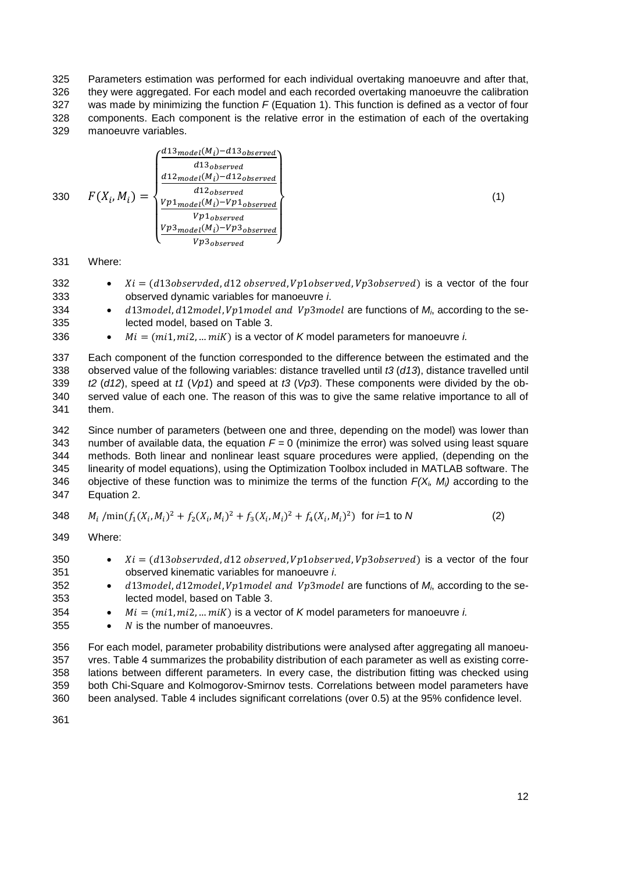Parameters estimation was performed for each individual overtaking manoeuvre and after that, they were aggregated. For each model and each recorded overtaking manoeuvre the calibration was made by minimizing the function *F* (Equation 1). This function is defined as a vector of four components. Each component is the relative error in the estimation of each of the overtaking manoeuvre variables.

$$
330 \t F(X_i, M_i) = \begin{cases} \frac{d^{13} \text{model}(M_i) - d^{13} \text{observed}}{d^{13} \text{observed}} \\ \frac{d^{12} \text{model}(M_i) - d^{12} \text{observed}}{d^{12} \text{observed}} \\ \frac{Vp1_{model}(M_i) - Vp1_{observed}}{Vp1_{observed}} \\ \frac{Vp3_{model}(M_i) - Vp3_{observed}}{Vp3_{observed}} \end{cases} \tag{1}
$$

331 Where:

- 332  $Xi = (d13observed, d12 observed, Vp1observed, Vp3observed)$  is a vector of the four 333 observed dynamic variables for manoeuvre *i*.
- 334  $\bullet$   $d13 \text{ model}, d12 \text{ model}, Vp1 \text{ model}$  and  $Vp3 \text{ model}$  are functions of  $M_i$  according to the se-335 lected model, based on Table 3.

336  $M = (mi1, mi2, .. miK)$  is a vector of *K* model parameters for manoeuvre *i.* 

 Each component of the function corresponded to the difference between the estimated and the observed value of the following variables: distance travelled until *t3* (*d13*), distance travelled until *t2* (*d12*), speed at *t1* (*Vp1*) and speed at *t3* (*Vp3*). These components were divided by the ob- served value of each one. The reason of this was to give the same relative importance to all of 341 them.

 Since number of parameters (between one and three, depending on the model) was lower than number of available data, the equation *F =* 0 (minimize the error) was solved using least square methods. Both linear and nonlinear least square procedures were applied, (depending on the linearity of model equations), using the Optimization Toolbox included in MATLAB software. The objective of these function was to minimize the terms of the function *F(Xi, Mi)* according to the Equation 2.

348 
$$
M_i / min(f_1(X_i, M_i)^2 + f_2(X_i, M_i)^2 + f_3(X_i, M_i)^2 + f_4(X_i, M_i)^2)
$$
 for  $i=1$  to N (2)

349 Where:

| 350 | $Xi = (d13observed, d12 observed, Vp1observed, Vp3observed)$ is a vector of the four    |
|-----|-----------------------------------------------------------------------------------------|
| 351 | observed kinematic variables for manoeuvre <i>i</i> .                                   |
| 352 | d13model, d12model, Vp1model and Vp3model are functions of $M_i$ , according to the se- |

- 353 lected model, based on Table 3.
- 354  $M = (mi1, mi2, .. miK)$  is a vector of *K* model parameters for manoeuvre *i.*
- 355  $\bullet$  N is the number of manoeuvres.

 For each model, parameter probability distributions were analysed after aggregating all manoeu- vres. Table 4 summarizes the probability distribution of each parameter as well as existing corre- lations between different parameters. In every case, the distribution fitting was checked using both Chi-Square and Kolmogorov-Smirnov tests. Correlations between model parameters have been analysed. Table 4 includes significant correlations (over 0.5) at the 95% confidence level.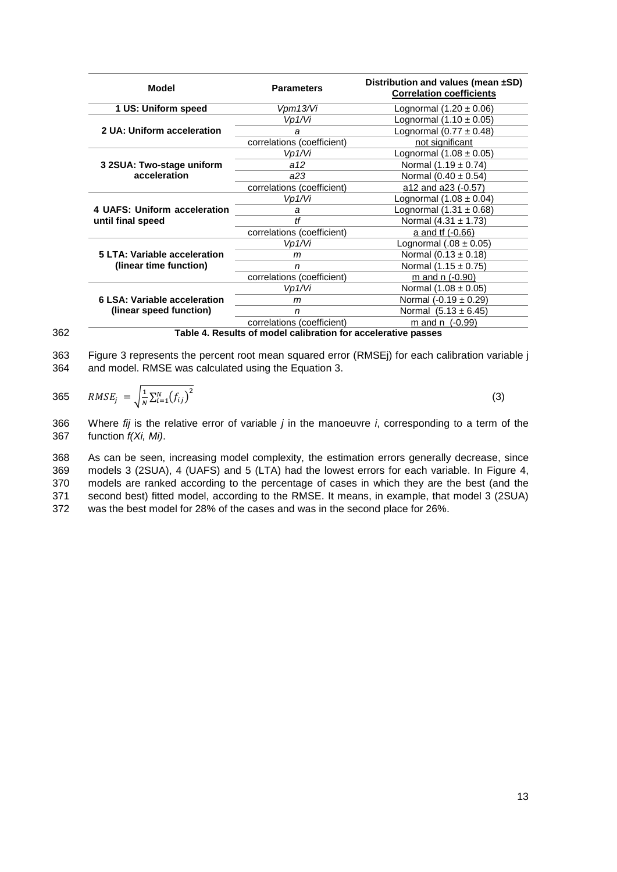| Model                        | <b>Parameters</b>          | Distribution and values (mean ±SD)<br><b>Correlation coefficients</b> |
|------------------------------|----------------------------|-----------------------------------------------------------------------|
| 1 US: Uniform speed          | Vpm13/Vi                   | Lognormal $(1.20 \pm 0.06)$                                           |
|                              | Vp1/Vi                     | Lognormal $(1.10 \pm 0.05)$                                           |
| 2 UA: Uniform acceleration   | a                          | Lognormal $(0.77 \pm 0.48)$                                           |
|                              | correlations (coefficient) | not significant                                                       |
|                              | Vp1/Vi                     | Lognormal $(1.08 \pm 0.05)$                                           |
| 3 2SUA: Two-stage uniform    | a12                        | Normal $(1.19 \pm 0.74)$                                              |
| acceleration                 | a23                        | Normal $(0.40 \pm 0.54)$                                              |
|                              | correlations (coefficient) | a12 and a23 (-0.57)                                                   |
|                              | Vp1/Vi                     | Lognormal $(1.08 \pm 0.04)$                                           |
| 4 UAFS: Uniform acceleration | a                          | Lognormal $(1.31 \pm 0.68)$                                           |
| until final speed            | H                          | Normal (4.31 ± 1.73)                                                  |
|                              | correlations (coefficient) | a and tf (-0.66)                                                      |
|                              | Vp1/Vi                     | Lognormal $(.08 \pm 0.05)$                                            |
| 5 LTA: Variable acceleration | m                          | Normal $(0.13 \pm 0.18)$                                              |
| (linear time function)       | n                          | Normal $(1.15 \pm 0.75)$                                              |
|                              | correlations (coefficient) | m and $n$ (-0.90)                                                     |
|                              | Vp1/Vi                     | Normal $(1.08 \pm 0.05)$                                              |
| 6 LSA: Variable acceleration | m                          | Normal $(-0.19 \pm 0.29)$                                             |
| (linear speed function)      | n                          | Normal $(5.13 \pm 6.45)$                                              |
|                              | correlations (coefficient) | m and n $(-0.99)$                                                     |

362 **Table 4. Results of model calibration for accelerative passes**

363 [Figure 3](#page-14-0) represents the percent root mean squared error (RMSEj) for each calibration variable j 364 and model. RMSE was calculated using the Equation 3.

365 
$$
RMSE_j = \sqrt{\frac{1}{N} \sum_{i=1}^{N} (f_{ij})^2}
$$
 (3)

366 Where *fij* is the relative error of variable *j* in the manoeuvre *i*, corresponding to a term of the 367 function *f(Xi, Mi)*.

 As can be seen, increasing model complexity, the estimation errors generally decrease, since models 3 (2SUA), 4 (UAFS) and 5 (LTA) had the lowest errors for each variable. In [Figure 4,](#page-14-1) models are ranked according to the percentage of cases in which they are the best (and the second best) fitted model, according to the RMSE. It means, in example, that model 3 (2SUA) was the best model for 28% of the cases and was in the second place for 26%.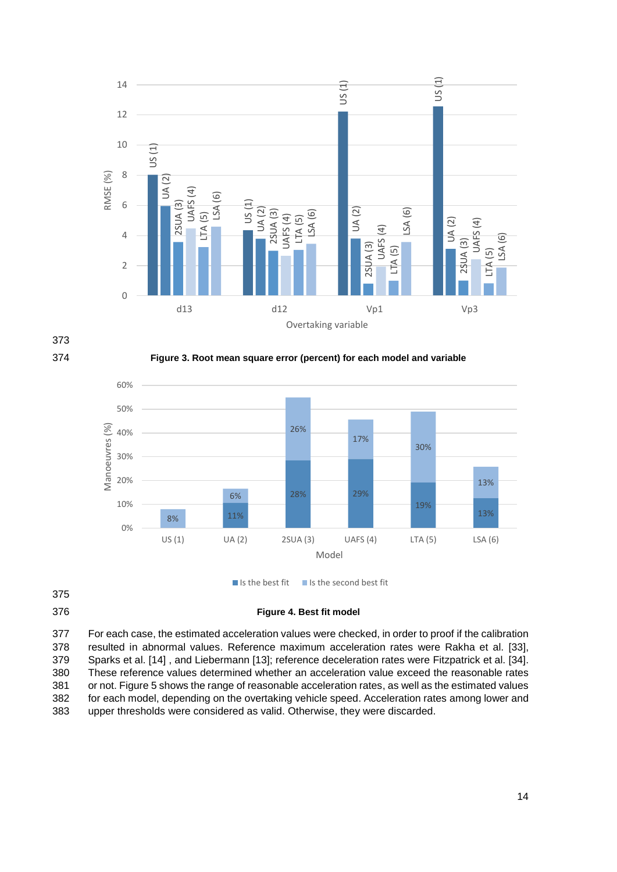



374 **Figure 3. Root mean square error (percent) for each model and variable**

<span id="page-14-0"></span>

### <span id="page-14-1"></span>376 **Figure 4. Best fit model**

 For each case, the estimated acceleration values were checked, in order to proof if the calibration resulted in abnormal values. Reference maximum acceleration rates were Rakha et al. [33], Sparks et al. [14] , and Liebermann [13]; reference deceleration rates were Fitzpatrick et al. [34]. These reference values determined whether an acceleration value exceed the reasonable rates or not. [Figure 5](#page-15-0) shows the range of reasonable acceleration rates, as well as the estimated values for each model, depending on the overtaking vehicle speed. Acceleration rates among lower and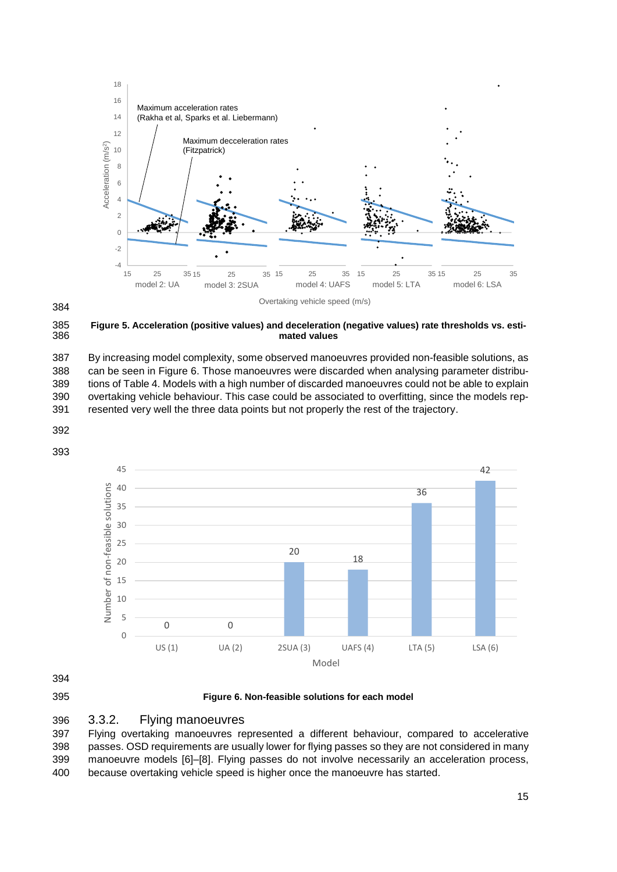

<span id="page-15-0"></span> **Figure 5. Acceleration (positive values) and deceleration (negative values) rate thresholds vs. esti**mated values

 By increasing model complexity, some observed manoeuvres provided non-feasible solutions, as can be seen in [Figure 6.](#page-15-1) Those manoeuvres were discarded when analysing parameter distribu- tions of Table 4. Models with a high number of discarded manoeuvres could not be able to explain overtaking vehicle behaviour. This case could be associated to overfitting, since the models rep-resented very well the three data points but not properly the rest of the trajectory.









<span id="page-15-1"></span>**Figure 6. Non-feasible solutions for each model**



 Flying overtaking manoeuvres represented a different behaviour, compared to accelerative passes. OSD requirements are usually lower for flying passes so they are not considered in many manoeuvre models [6]–[8]. Flying passes do not involve necessarily an acceleration process, because overtaking vehicle speed is higher once the manoeuvre has started.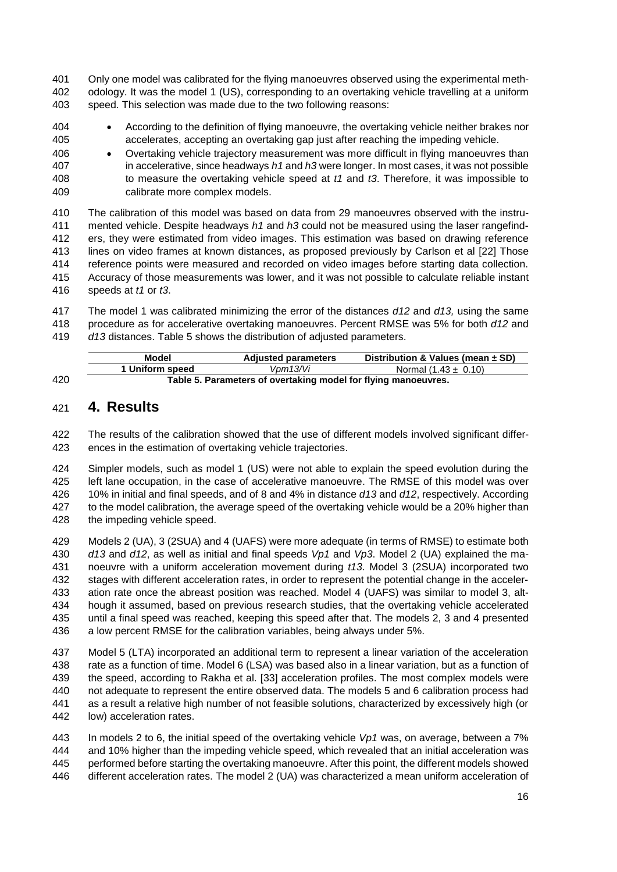Only one model was calibrated for the flying manoeuvres observed using the experimental meth- odology. It was the model 1 (US), corresponding to an overtaking vehicle travelling at a uniform speed. This selection was made due to the two following reasons:

- According to the definition of flying manoeuvre, the overtaking vehicle neither brakes nor accelerates, accepting an overtaking gap just after reaching the impeding vehicle.
- Overtaking vehicle trajectory measurement was more difficult in flying manoeuvres than in accelerative, since headways *h1* and *h3* were longer. In most cases, it was not possible to measure the overtaking vehicle speed at *t1* and *t3*. Therefore, it was impossible to calibrate more complex models.

 The calibration of this model was based on data from 29 manoeuvres observed with the instru- mented vehicle. Despite headways *h1* and *h3* could not be measured using the laser rangefind- ers, they were estimated from video images. This estimation was based on drawing reference lines on video frames at known distances, as proposed previously by Carlson et al [22] Those reference points were measured and recorded on video images before starting data collection. Accuracy of those measurements was lower, and it was not possible to calculate reliable instant speeds at *t1* or *t3*.

 The model 1 was calibrated minimizing the error of the distances *d12* and *d13,* using the same procedure as for accelerative overtaking manoeuvres. Percent RMSE was 5% for both *d12* and *d13* distances. Table 5 shows the distribution of adjusted parameters.

|     | Model                                                          | <b>Adjusted parameters</b> | Distribution & Values (mean $\pm$ SD) |  |  |  |  |
|-----|----------------------------------------------------------------|----------------------------|---------------------------------------|--|--|--|--|
|     | 1 Uniform speed                                                | Vpm13/Vi                   | Normal $(1.43 \pm 0.10)$              |  |  |  |  |
| 420 | Table 5. Parameters of overtaking model for flying manoeuvres. |                            |                                       |  |  |  |  |

### **4. Results**

 The results of the calibration showed that the use of different models involved significant differ-ences in the estimation of overtaking vehicle trajectories.

 Simpler models, such as model 1 (US) were not able to explain the speed evolution during the left lane occupation, in the case of accelerative manoeuvre. The RMSE of this model was over 10% in initial and final speeds, and of 8 and 4% in distance *d13* and *d12*, respectively. According to the model calibration, the average speed of the overtaking vehicle would be a 20% higher than the impeding vehicle speed.

 Models 2 (UA), 3 (2SUA) and 4 (UAFS) were more adequate (in terms of RMSE) to estimate both *d13* and *d12*, as well as initial and final speeds *Vp1* and *Vp3*. Model 2 (UA) explained the ma- noeuvre with a uniform acceleration movement during *t13*. Model 3 (2SUA) incorporated two stages with different acceleration rates, in order to represent the potential change in the acceler- ation rate once the abreast position was reached. Model 4 (UAFS) was similar to model 3, alt- hough it assumed, based on previous research studies, that the overtaking vehicle accelerated until a final speed was reached, keeping this speed after that. The models 2, 3 and 4 presented a low percent RMSE for the calibration variables, being always under 5%.

 Model 5 (LTA) incorporated an additional term to represent a linear variation of the acceleration rate as a function of time. Model 6 (LSA) was based also in a linear variation, but as a function of the speed, according to Rakha et al. [33] acceleration profiles. The most complex models were not adequate to represent the entire observed data. The models 5 and 6 calibration process had as a result a relative high number of not feasible solutions, characterized by excessively high (or low) acceleration rates.

 In models 2 to 6, the initial speed of the overtaking vehicle *Vp1* was, on average, between a 7% and 10% higher than the impeding vehicle speed, which revealed that an initial acceleration was performed before starting the overtaking manoeuvre. After this point, the different models showed different acceleration rates. The model 2 (UA) was characterized a mean uniform acceleration of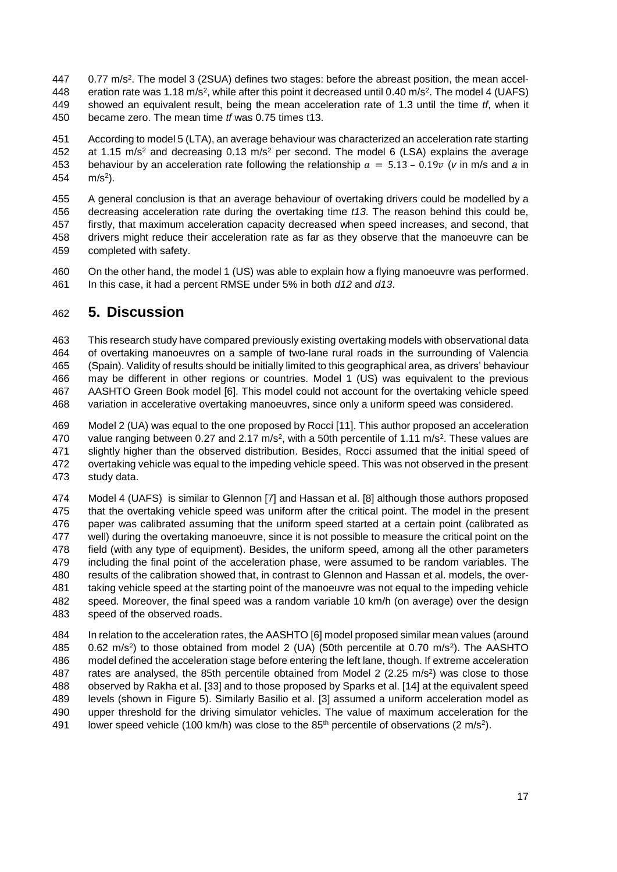- 447 0.77 m/s<sup>2</sup>. The model 3 (2SUA) defines two stages: before the abreast position, the mean accel-448 eration rate was 1.18 m/s<sup>2</sup>, while after this point it decreased until 0.40 m/s<sup>2</sup>. The model 4 (UAFS) showed an equivalent result, being the mean acceleration rate of 1.3 until the time *tf*, when it became zero. The mean time *tf* was 0.75 times t13.
- According to model 5 (LTA), an average behaviour was characterized an acceleration rate starting 452 at 1.15  $m/s^2$  and decreasing 0.13 m/s<sup>2</sup> per second. The model 6 (LSA) explains the average 453 behaviour by an acceleration rate following the relationship  $a = 5.13 - 0.19v$  (*v* in m/s and *a* in 454  $m/s^2$ ).

 A general conclusion is that an average behaviour of overtaking drivers could be modelled by a decreasing acceleration rate during the overtaking time *t13*. The reason behind this could be, firstly, that maximum acceleration capacity decreased when speed increases, and second, that drivers might reduce their acceleration rate as far as they observe that the manoeuvre can be completed with safety.

 On the other hand, the model 1 (US) was able to explain how a flying manoeuvre was performed. In this case, it had a percent RMSE under 5% in both *d12* and *d13*.

## **5. Discussion**

 This research study have compared previously existing overtaking models with observational data of overtaking manoeuvres on a sample of two-lane rural roads in the surrounding of Valencia (Spain). Validity of results should be initially limited to this geographical area, as drivers' behaviour may be different in other regions or countries. Model 1 (US) was equivalent to the previous AASHTO Green Book model [6]. This model could not account for the overtaking vehicle speed variation in accelerative overtaking manoeuvres, since only a uniform speed was considered.

 Model 2 (UA) was equal to the one proposed by Rocci [11]. This author proposed an acceleration 470 value ranging between 0.27 and 2.17 m/s<sup>2</sup>, with a 50th percentile of 1.11 m/s<sup>2</sup>. These values are slightly higher than the observed distribution. Besides, Rocci assumed that the initial speed of overtaking vehicle was equal to the impeding vehicle speed. This was not observed in the present study data.

 Model 4 (UAFS) is similar to Glennon [7] and Hassan et al. [8] although those authors proposed that the overtaking vehicle speed was uniform after the critical point. The model in the present paper was calibrated assuming that the uniform speed started at a certain point (calibrated as well) during the overtaking manoeuvre, since it is not possible to measure the critical point on the field (with any type of equipment). Besides, the uniform speed, among all the other parameters including the final point of the acceleration phase, were assumed to be random variables. The results of the calibration showed that, in contrast to Glennon and Hassan et al. models, the over- taking vehicle speed at the starting point of the manoeuvre was not equal to the impeding vehicle speed. Moreover, the final speed was a random variable 10 km/h (on average) over the design speed of the observed roads.

 In relation to the acceleration rates, the AASHTO [6] model proposed similar mean values (around  $0.62 \text{ m/s}^2$ ) to those obtained from model 2 (UA) (50th percentile at 0.70 m/s<sup>2</sup>). The AASHTO model defined the acceleration stage before entering the left lane, though. If extreme acceleration 487 rates are analysed, the 85th percentile obtained from Model 2 (2.25 m/s<sup>2</sup>) was close to those observed by Rakha et al. [33] and to those proposed by Sparks et al. [14] at the equivalent speed levels (shown in [Figure 5\)](#page-15-0). Similarly Basilio et al. [3] assumed a uniform acceleration model as upper threshold for the driving simulator vehicles. The value of maximum acceleration for the 491 lower speed vehicle (100 km/h) was close to the  $85<sup>th</sup>$  percentile of observations (2 m/s<sup>2</sup>).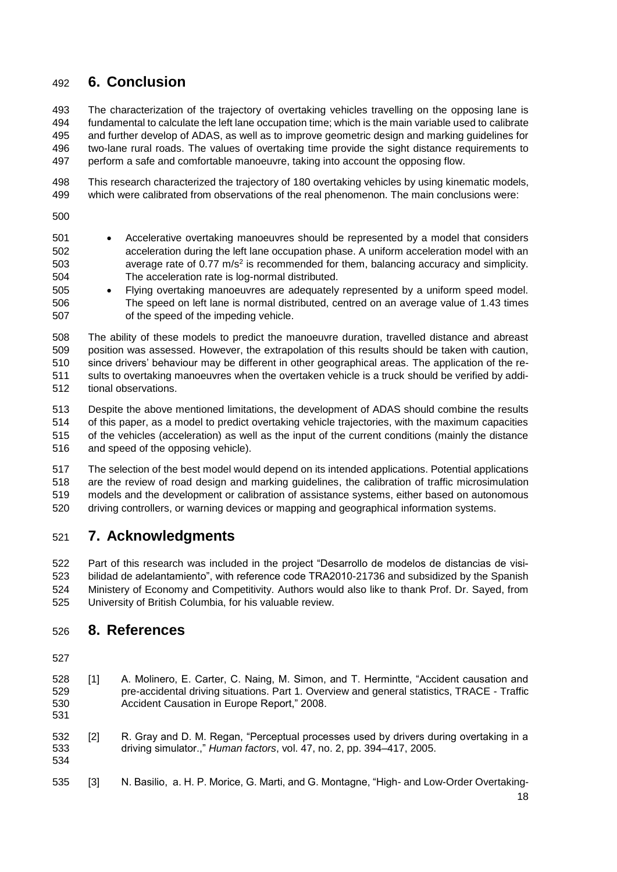# **6. Conclusion**

 The characterization of the trajectory of overtaking vehicles travelling on the opposing lane is fundamental to calculate the left lane occupation time; which is the main variable used to calibrate and further develop of ADAS, as well as to improve geometric design and marking guidelines for two-lane rural roads. The values of overtaking time provide the sight distance requirements to perform a safe and comfortable manoeuvre, taking into account the opposing flow.

 This research characterized the trajectory of 180 overtaking vehicles by using kinematic models, which were calibrated from observations of the real phenomenon. The main conclusions were:

- 
- Accelerative overtaking manoeuvres should be represented by a model that considers acceleration during the left lane occupation phase. A uniform acceleration model with an 503 average rate of  $0.77 \text{ m/s}^2$  is recommended for them, balancing accuracy and simplicity. The acceleration rate is log-normal distributed.
- Flying overtaking manoeuvres are adequately represented by a uniform speed model. The speed on left lane is normal distributed, centred on an average value of 1.43 times of the speed of the impeding vehicle.

 The ability of these models to predict the manoeuvre duration, travelled distance and abreast position was assessed. However, the extrapolation of this results should be taken with caution, since drivers' behaviour may be different in other geographical areas. The application of the re- sults to overtaking manoeuvres when the overtaken vehicle is a truck should be verified by addi-tional observations.

 Despite the above mentioned limitations, the development of ADAS should combine the results of this paper, as a model to predict overtaking vehicle trajectories, with the maximum capacities of the vehicles (acceleration) as well as the input of the current conditions (mainly the distance and speed of the opposing vehicle).

 The selection of the best model would depend on its intended applications. Potential applications are the review of road design and marking guidelines, the calibration of traffic microsimulation models and the development or calibration of assistance systems, either based on autonomous driving controllers, or warning devices or mapping and geographical information systems.

# **7. Acknowledgments**

 Part of this research was included in the project "Desarrollo de modelos de distancias de visi- bilidad de adelantamiento", with reference code TRA2010-21736 and subsidized by the Spanish Ministery of Economy and Competitivity. Authors would also like to thank Prof. Dr. Sayed, from University of British Columbia, for his valuable review.

### **8. References**

- [1] A. Molinero, E. Carter, C. Naing, M. Simon, and T. Hermintte, "Accident causation and pre-accidental driving situations. Part 1. Overview and general statistics, TRACE - Traffic Accident Causation in Europe Report," 2008.
- [2] R. Gray and D. M. Regan, "Perceptual processes used by drivers during overtaking in a driving simulator.," *Human factors*, vol. 47, no. 2, pp. 394–417, 2005.
- [3] N. Basilio, a. H. P. Morice, G. Marti, and G. Montagne, "High- and Low-Order Overtaking-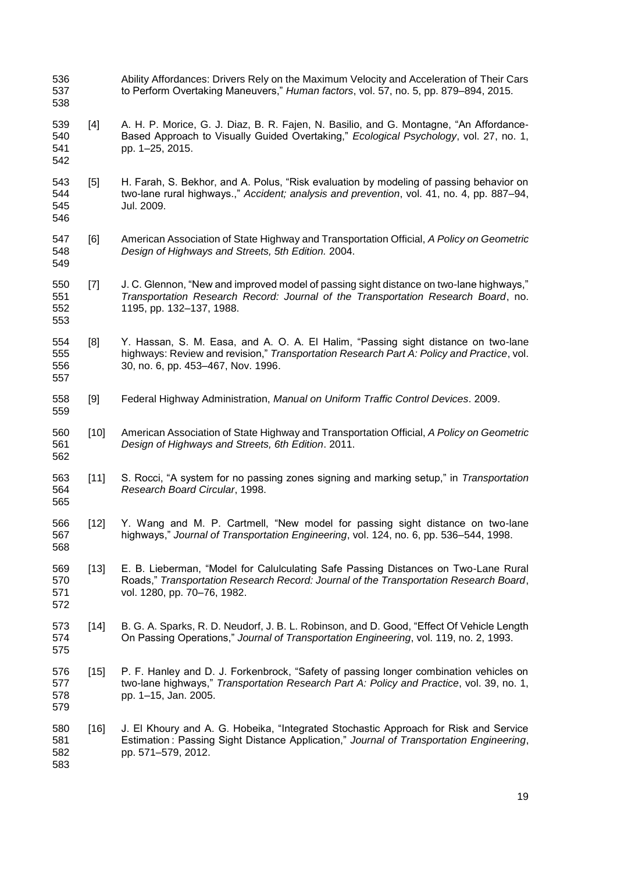Ability Affordances: Drivers Rely on the Maximum Velocity and Acceleration of Their Cars to Perform Overtaking Maneuvers," *Human factors*, vol. 57, no. 5, pp. 879–894, 2015.

- [4] A. H. P. Morice, G. J. Diaz, B. R. Fajen, N. Basilio, and G. Montagne, "An Affordance- Based Approach to Visually Guided Overtaking," *Ecological Psychology*, vol. 27, no. 1, pp. 1–25, 2015.
- [5] H. Farah, S. Bekhor, and A. Polus, "Risk evaluation by modeling of passing behavior on two-lane rural highways.," *Accident; analysis and prevention*, vol. 41, no. 4, pp. 887–94, Jul. 2009.
- [6] American Association of State Highway and Transportation Official, *A Policy on Geometric Design of Highways and Streets, 5th Edition.* 2004.
- [7] J. C. Glennon, "New and improved model of passing sight distance on two-lane highways," *Transportation Research Record: Journal of the Transportation Research Board*, no. 1195, pp. 132–137, 1988.
- [8] Y. Hassan, S. M. Easa, and A. O. A. El Halim, "Passing sight distance on two-lane highways: Review and revision," *Transportation Research Part A: Policy and Practice*, vol. 30, no. 6, pp. 453–467, Nov. 1996.
- [9] Federal Highway Administration, *Manual on Uniform Traffic Control Devices*. 2009.
- [10] American Association of State Highway and Transportation Official, *A Policy on Geometric Design of Highways and Streets, 6th Edition*. 2011.
- [11] S. Rocci, "A system for no passing zones signing and marking setup," in *Transportation Research Board Circular*, 1998.
- [12] Y. Wang and M. P. Cartmell, "New model for passing sight distance on two-lane highways," *Journal of Transportation Engineering*, vol. 124, no. 6, pp. 536–544, 1998.
- [13] E. B. Lieberman, "Model for Calulculating Safe Passing Distances on Two-Lane Rural Roads," *Transportation Research Record: Journal of the Transportation Research Board*, vol. 1280, pp. 70–76, 1982.
- [14] B. G. A. Sparks, R. D. Neudorf, J. B. L. Robinson, and D. Good, "Effect Of Vehicle Length On Passing Operations," *Journal of Transportation Engineering*, vol. 119, no. 2, 1993.
- [15] P. F. Hanley and D. J. Forkenbrock, "Safety of passing longer combination vehicles on two-lane highways," *Transportation Research Part A: Policy and Practice*, vol. 39, no. 1, pp. 1–15, Jan. 2005.
- [16] J. El Khoury and A. G. Hobeika, "Integrated Stochastic Approach for Risk and Service Estimation : Passing Sight Distance Application," *Journal of Transportation Engineering*, pp. 571–579, 2012.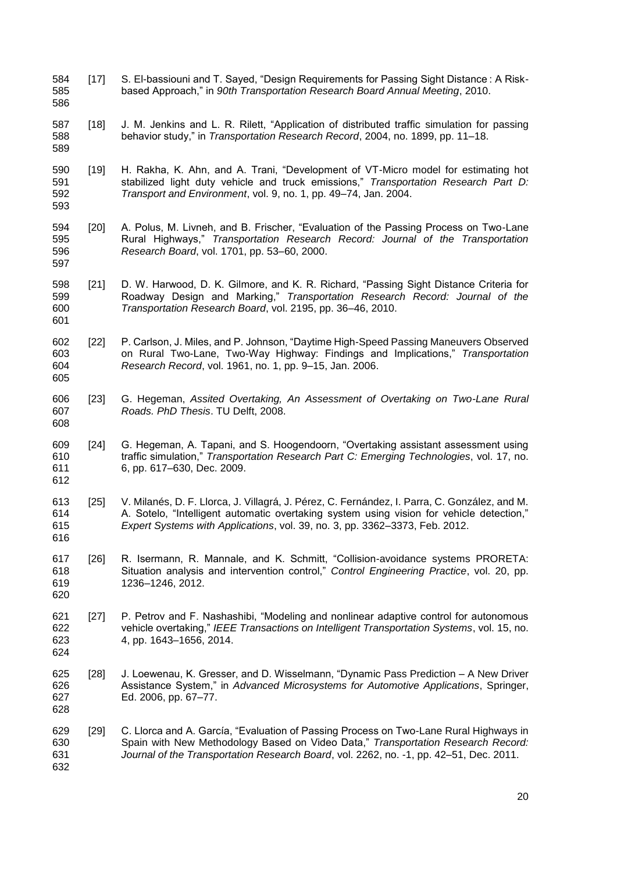- 584 [17] S. El-bassiouni and T. Sayed, "Design Requirements for Passing Sight Distance : A Risk- based Approach," in *90th Transportation Research Board Annual Meeting*, 2010.
- [18] J. M. Jenkins and L. R. Rilett, "Application of distributed traffic simulation for passing behavior study," in *Transportation Research Record*, 2004, no. 1899, pp. 11–18.

- [19] H. Rakha, K. Ahn, and A. Trani, "Development of VT-Micro model for estimating hot stabilized light duty vehicle and truck emissions," *Transportation Research Part D: Transport and Environment*, vol. 9, no. 1, pp. 49–74, Jan. 2004.
- [20] A. Polus, M. Livneh, and B. Frischer, "Evaluation of the Passing Process on Two-Lane Rural Highways," *Transportation Research Record: Journal of the Transportation Research Board*, vol. 1701, pp. 53–60, 2000.
- [21] D. W. Harwood, D. K. Gilmore, and K. R. Richard, "Passing Sight Distance Criteria for Roadway Design and Marking," *Transportation Research Record: Journal of the Transportation Research Board*, vol. 2195, pp. 36–46, 2010.
- [22] P. Carlson, J. Miles, and P. Johnson, "Daytime High-Speed Passing Maneuvers Observed on Rural Two-Lane, Two-Way Highway: Findings and Implications," *Transportation Research Record*, vol. 1961, no. 1, pp. 9–15, Jan. 2006.
- [23] G. Hegeman, *Assited Overtaking, An Assessment of Overtaking on Two-Lane Rural Roads. PhD Thesis*. TU Delft, 2008.
- [24] G. Hegeman, A. Tapani, and S. Hoogendoorn, "Overtaking assistant assessment using traffic simulation," *Transportation Research Part C: Emerging Technologies*, vol. 17, no. 6, pp. 617–630, Dec. 2009.
- [25] V. Milanés, D. F. Llorca, J. Villagrá, J. Pérez, C. Fernández, I. Parra, C. González, and M. A. Sotelo, "Intelligent automatic overtaking system using vision for vehicle detection," *Expert Systems with Applications*, vol. 39, no. 3, pp. 3362–3373, Feb. 2012.
- [26] R. Isermann, R. Mannale, and K. Schmitt, "Collision-avoidance systems PRORETA: Situation analysis and intervention control," *Control Engineering Practice*, vol. 20, pp. 1236–1246, 2012.
- [27] P. Petrov and F. Nashashibi, "Modeling and nonlinear adaptive control for autonomous vehicle overtaking," *IEEE Transactions on Intelligent Transportation Systems*, vol. 15, no. 4, pp. 1643–1656, 2014.
- [28] J. Loewenau, K. Gresser, and D. Wisselmann, "Dynamic Pass Prediction A New Driver Assistance System," in *Advanced Microsystems for Automotive Applications*, Springer, Ed. 2006, pp. 67–77.
- [29] C. Llorca and A. García, "Evaluation of Passing Process on Two-Lane Rural Highways in Spain with New Methodology Based on Video Data," *Transportation Research Record: Journal of the Transportation Research Board*, vol. 2262, no. -1, pp. 42–51, Dec. 2011.